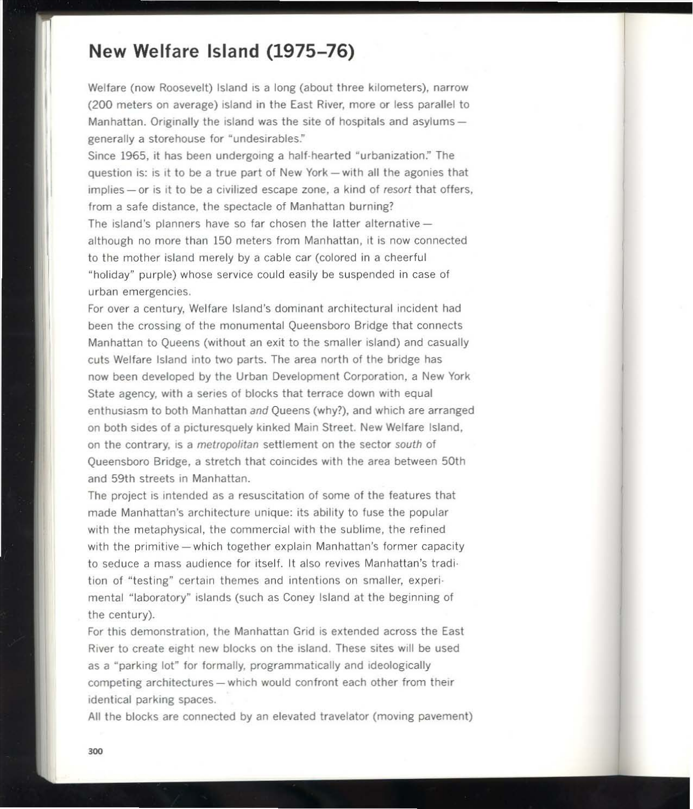## New Welfare Island (1975-76)

Welfare (now Roosevelt) Island is a long (about three kilometers), narrow (200 meters on average) island in the East River, more or less parallel to Manhattan. Originally the island was the site of hospitals and asylums $$ generally a storehouse for "undesirables."

Since 1965, it has been undergoing a half-hearted "urbanization." The question is: is it to be a true part of New York - with all the agonies that implies - or is it to be a civilized escape zone, a kind of *resort* that offers, from a safe distance, the spectacle of Manhattan burning? The island's planners have so far chosen the latter alternative  $$ although no more than 150 meters from Manhattan. it is now connected to the mother island merely by a cable car (colored in a cheerful "holiday" purple) whose service could easily be suspended in case of urban emergencies.

The project is intended as a resuscitation of some of the features that made Manhattan's architecture unique: its ability to fuse the popular with the metaphysical, the commercial with the sublime, the refined with the primitive - which together explain Manhattan's former capacity to seduce a mass audience for itself. It also revives Manhattan's tradition of "testing" certain themes and intentions on smaller, experi· mental "laboratory" islands (such as Coney Island at the beginning of the century).

For this demonstration, the Manhattan Grid is extended across the East River to create eight new blocks on the island. These sites will be used as a "parking lot" for formally, programmatically and ideologically competing architectures - which would confront each other from their identical parking spaces.

For over a century, Welfare Island's dominant architectural incident had been the crossing of the monumental Queensboro Bridge that connects Manhattan to Queens (without an exit to the smaller island) and casually cuts Welfare Island into two parts. The area north of the bridge has now been developed by the Urban Development Corporation, a New York State agency, with a series of blocks that terrace down with equal enthusiasm to both Manhattan and Queens (why?), and which are arranged on both sides of a picturesquely kinked Main Street. New Welfare Island, on the contrary, is a metropolitan settlement on the sector south of Queensboro Bridge. a stretch that coincides with the area between 50th and 59th streets in Manhattan.

All the blocks are connected by an elevated travelator (moving pavement)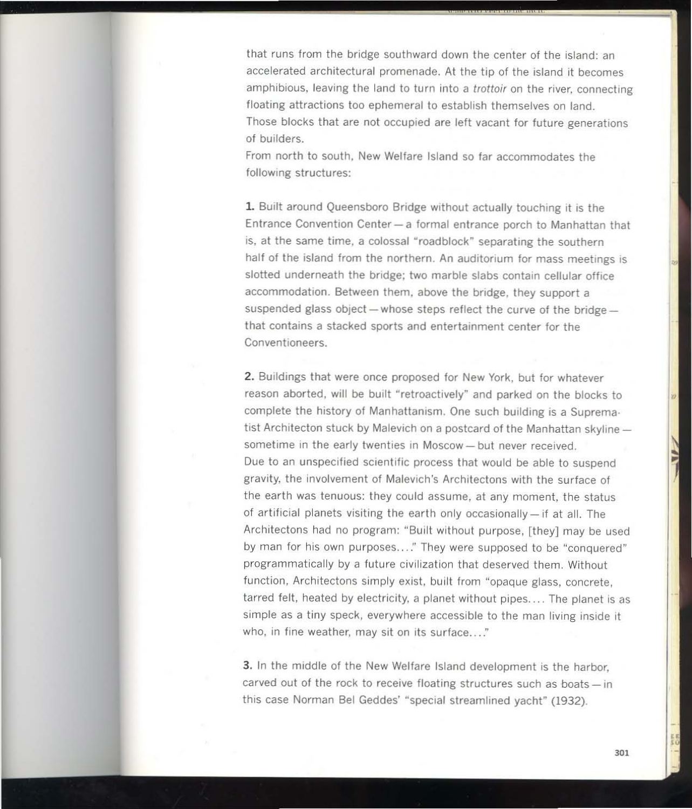that runs from the bridge southward down the center of the island: an accelerated architectural promenade. At the tip of the island it becomes amphibious, leaving the land to turn into a *trottoir* on the river, connecting floating attractions too ephemeral to establish themselves on land. Those blocks that are not occupied are left vacant for future generations of builders.

From north to south, New Welfare Island so far accommodates the following structures:

1. Built around Queensboro Bridge without actually touching it is the Entrance Convention Center - a formal entrance porch to Manhattan that is, at the same time, a colossal "roadblock" separating the southern half of the island from the northern. An auditorium for mass meetings is slotted underneath the bridge; two marble slabs contain cellular office accommodation. Between them, above the bridge, they support a suspended glass object - whose steps reflect the curve of the bridge that contains a stacked sports and entertainment center for the Conventioneers.

2. Buildings that were once proposed for New York, but for whatever reason aborted, will be built "retroactively" and parked on the blocks to complete the history of Manhattanism. One such building is a Suprematist Architecton stuck by Malevich on a postcard of the Manhattan skyline sometime in the early twenties in Moscow - but never received. Due to an unspecified scientific process that would be able to suspend gravity, the involvement of Malevich's Architectons with the surface of the earth was tenuous: they could assume, at any moment, the status of artificial planets visiting the earth only occasionally - if at all. The Architectons had no program: "Built without purpose, [they] may be used by man for his own purposes...." They were supposed to be "conquered" programmatically by a future civilization that deserved them. Without function, Architectons simply exist, built from "opaque glass, concrete, tarred felt, heated by electricity, a planet without pipes.... The planet is as simple as a tiny speck, everywhere accessible to the man living inside it who, in fine weather, may sit on its surface...."

3. In the middle of the New Welfare Island development is the harbor, carved out of the rock to receive floating structures such as boats - in this case Norman Bel Geddes' "special streamlined yacht" (1932).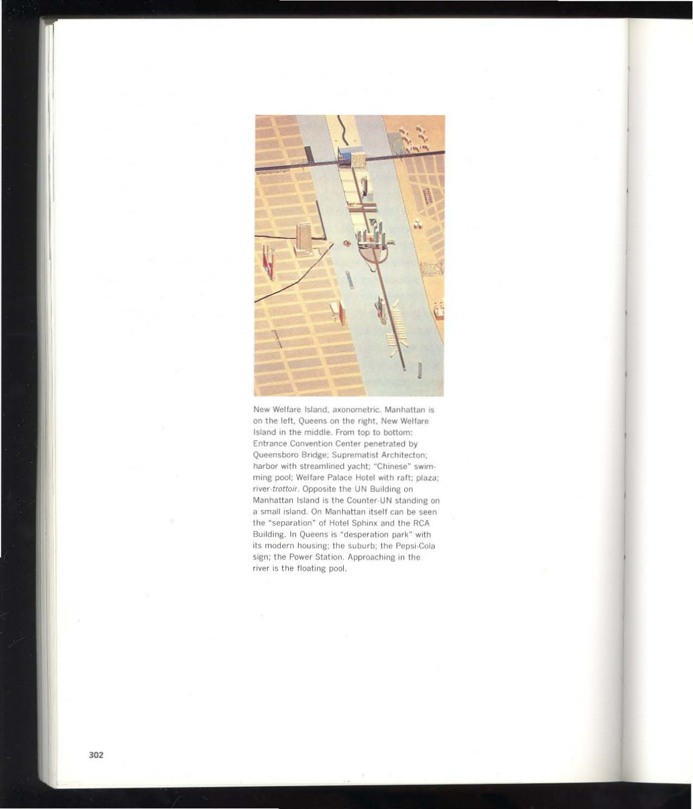

Manhattan Island is the Counter UN standing on a small island. On Manhattan itself can be seen the "separation" of Hotel Sphinx and the RCA BUIlding. In Queens is "desperation park" With its modern housing: the suburb; the Pepsi-Cola sign; the Power Station. Approaching in the river is the floating pool.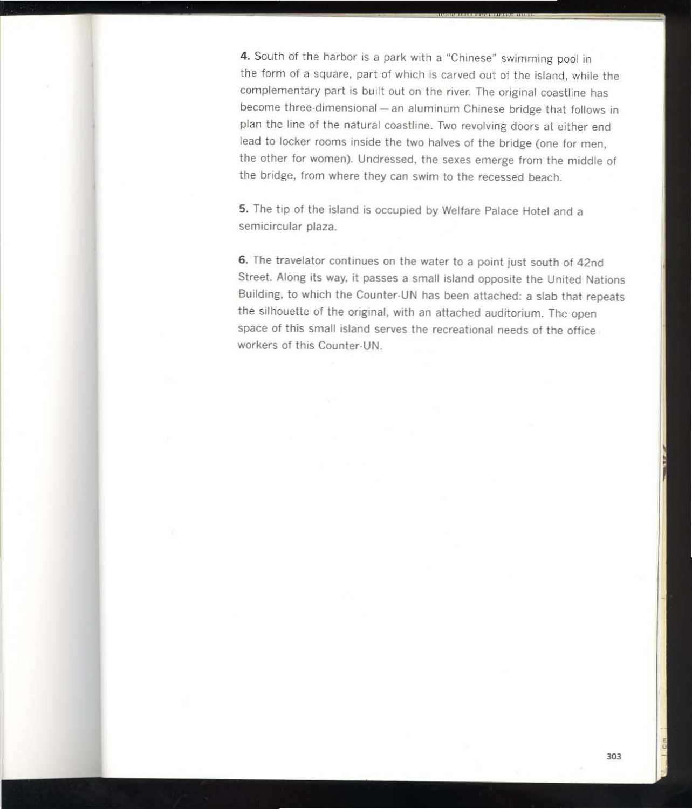4. South of the harbor is a park with a "Chinese" swimming pool in the form of a square, part of which is carved out of the island, while the complementary part is built out on the river. The original coastline has become three-dimensional - an aluminum Chinese bridge that follows in plan the line of the natural coastline. Two revolving doors at either end lead to locker rooms inside the two halves of the bridge (one for men, the other for women). Undressed, the sexes emerge from the middle of the bridge, from where they can swim to the recessed beach.

5. The tip of the island is occupied by Welfare Palace Hotel and a semicircular plaza.

6. The travelator continues on the water to a point just south of 42nd Street. Along its way, it passes a small island opposite the United Nations BUilding, to which the Counter·UN has been attached: a slab that repeats the silhouette of the original, with an attached auditorium. The open space of this small island serves the recreational needs of the office workers of this Counter-UN.

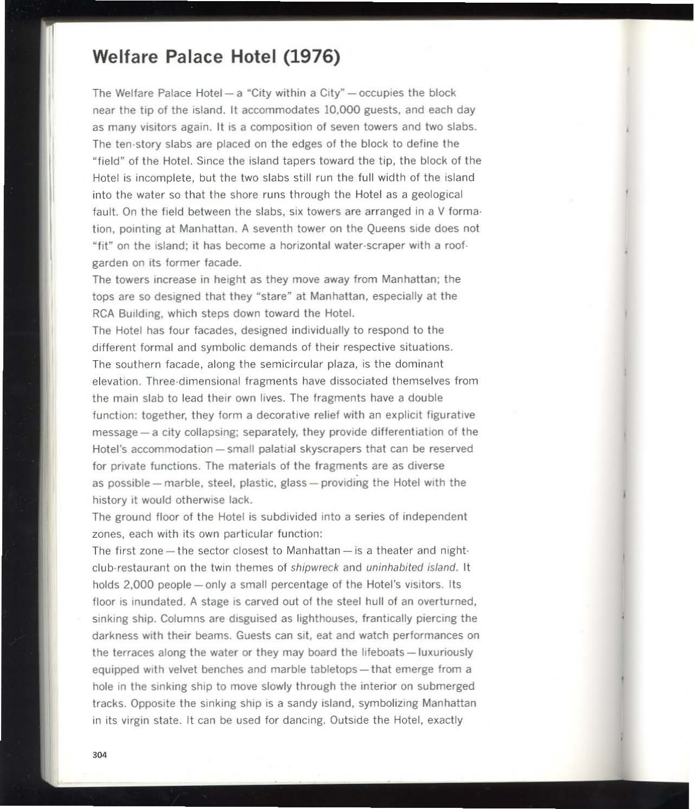## Welfare Palace Hotel (1976)

The Welfare Palace Hotel - a "City within a City" - occupies the block near the tip of the island. It accommodates 10,000 guests, and each day as many visitors again. It is a composition of seven towers and two slabs. The ten-story slabs are placed on the edges of the block to define the "field" of the Hotel. Since the island tapers toward the tip, the block of the Hotel is incomplete, but the two slabs still run the full width of the island into the water so that the shore runs through the Hotel as a geological fault. On the field between the slabs, six towers are arranged in a V formation, pointing at Manhattan. A seventh tower on the Queens side does not "fit" on the island; it has become a horizontal water-scraper with a roofgarden on its former facade.

The towers increase in height as they move away from Manhattan; the tops are so designed that they "stare" at Manhattan, especially at the RCA Building, which steps down toward the Hotel.

The first zone  $-$  the sector closest to Manhattan  $-$  is a theater and nightclub-restaurant on the twin themes of shipwreck and uninhabited island. It holds 2,000 people - only a small percentage of the Hotel's visitors. Its floor is inundated. A stage is carved out of the steel hull of an overturned, sinking ship. Columns are disguised as lighthouses, frantically piercing the darkness with their beams. Guests can Sit, eat and watch performances on the terraces along the water or they may board the lifeboats - luxuriously equipped with velvet benches and marble tabletops - that emerge from a hole in the Sinking ship to move slowly through the interior on submerged tracks. Opposite the sinking ship is a sandy island, symbolizing Manhattan in its virgin state. It can be used for dancing. Outside the Hotel, exactly

The Hotel has four facades, designed individually to respond to the different formal and symbolic demands of their respective situations. The southern facade, along the semicircular plaza, is the dominant elevation. Three·dimensional fragments have dissociated themselves from the main slab to lead their own lives. The fragments have a double function: together, they form a decorative relief with an explicit figurative message - a city collapsing; separately, they provide differentiation of the Hotel's accommodation - small palatial skyscrapers that can be reserved for private functions. The materials of the fragments are as diverse as possible - marble, steel, plastic, glass - providing the Hotel with the history it would otherwise lack.

The ground floor of the Hotel is subdivided into a series of independent zones, each with its own particular function:

•

I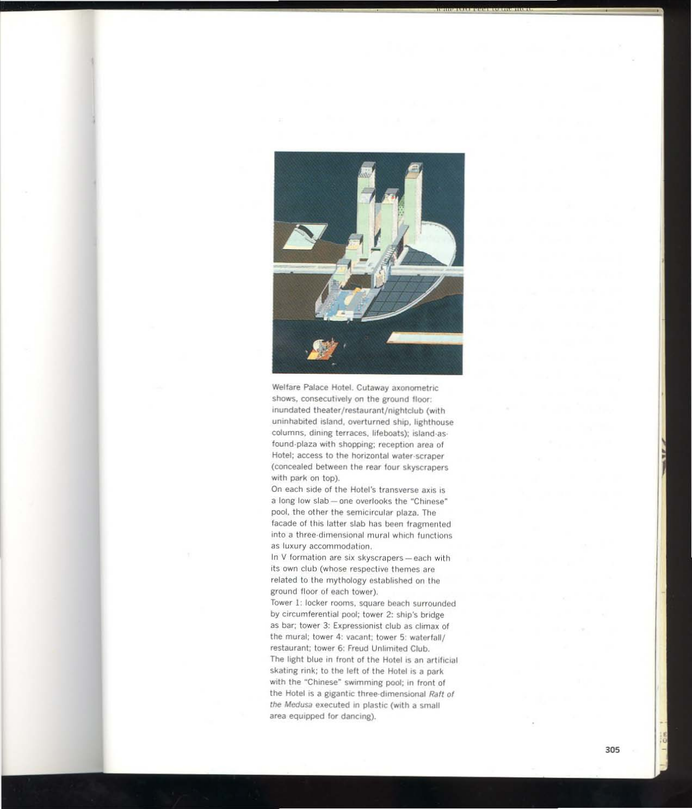

<u> Le statistici de la composició del contrado de la contrado de la contrado de la contrado de la contrado de la</u>

305

Welfare Palace Hotel. Cutaway axonometric shows, consecutively on the ground floor: Inundated theater/restaurant/nightclub (with uninhabited island, overturned ship, lighthouse columns, dining terraces, lifeboats); island-asfound·plaza with shopping; reception area or Hotel; access to the horizontal water-scraper (concealed between the rear four skyscrapers with park on top).

On each side of the Hotel's transverse axis is a long low slab - one overlooks the "Chinese" pool. the other the semicircular plaza. The facade of this latter slab has been fragmented into a three·dimensional mural which functions as luxury accommodation.

Tower I: locker rooms, square beach surrounded by circumferential pool; tower 2: ship's bridge as bar; tower 3: Expressionist club as climax of the mural: tower 4: vacant; tower 5: waterfall/ restaurant; tower 6: Freud Unlimited Club. The light blue in front of the Hotel is an artificial skating rink; to the left of the Hotel is a park with the "Chinese" swimming pool; in front of the Hotel is a gigantic three-dimensional Raft of the Medusa executed in plastic (with a small area equipped for dancing).

In V formation are six skyscrapers-each With its own club (whose respective themes are related to the mythology established on the ground floor of each tower).